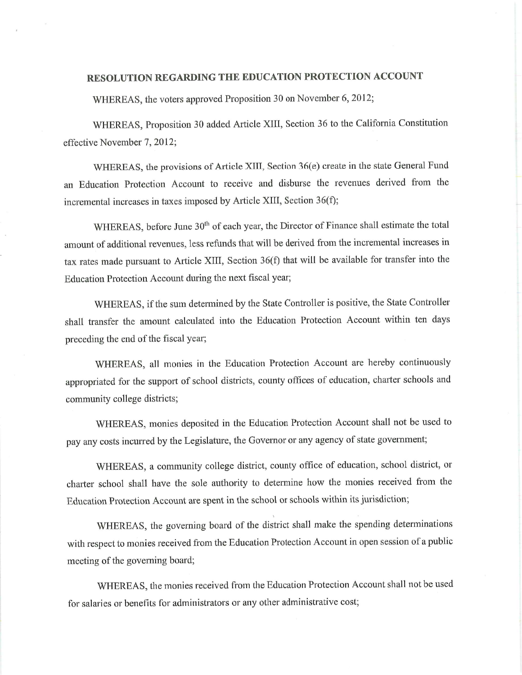## **RESOLUTION REGARDING THE EDUCATION PROTECTION ACCOUNT**

WHEREAS, the voters approved Proposition 30 on November 6, 2012;

WHEREAS, Proposition 30 added Article XIII, Section 36 to the California Constitution effective November 7, 2012;

WHEREAS, the provisions of Article XIII, Section 36(e) create in the state General Fund an Education Protection Account to receive and disburse the revenues derived from the incremental increases in taxes imposed by Article XIII, Section 36(f);

WHEREAS, before June 30<sup>th</sup> of each year, the Director of Finance shall estimate the total amount of additional revenues, less refunds that will be derived from the incremental increases in tax rates made pursuant to Article XIII, Section 36(f) that will be available for transfer into the Education Protection Account during the next fiscal year;

WHEREAS, if the sum determined by the State Controller is positive, the State Controller shall transfer the amount calculated into the Education Protection Account within ten days preceding the end of the fiscal year;

WHEREAS, all monies in the Education Protection Account are hereby continuously appropriated for the support of school districts, county offices of education, charter schools and community college districts;

WHEREAS, monies deposited in the Education Protection Account shall not be used to pay any costs incurred by the Legislature, the Governor or any agency of state government;

WHEREAS, a community college district, county office of education, school district, or charter school shall have the sole authority to determine how the monies received from the Education Protection Account are spent in the school or schools within its jurisdiction;

WHEREAS, the governing board of the district shall make the spending determinations with respect to monies received from the Education Protection Account in open session of a public meeting of the governing board;

WHEREAS, the monies received from the Education Protection Account shall not be used for salaries or benefits for administrators or any other administrative cost;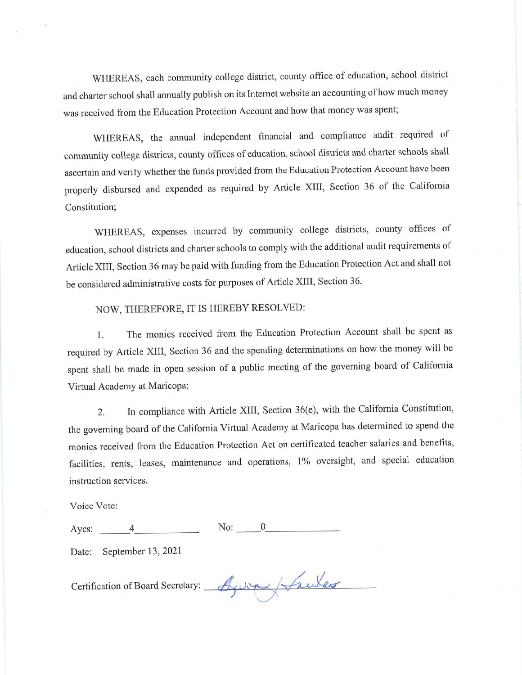WHEREAS, each community college district, county office of education, school district and charter school shall annually publish on its Internet website an accounting of how much money was received from the Education Protection Account and how that money was spent;

WHEREAS, the annual independent financial and compliance audit required of community college districts, county offices of education, school districts and charter schools shall ascertain and verify whether the funds provided from the Education Protection Account have been properly disbursed and expended as required by Article XIII, Section 36 of the California Constitution;

WHEREAS, expenses incurred by community college districts, county offices of education, school districts and charter schools to comply with the additional audit requirements of Article XIII, Section 36 may be paid with funding from the Education Protection Act and shall not be considered administrative costs for purposes of Article XIII, Section 36.

## NOW, THEREFORE, IT IS HEREBY RESOLVED:

The monies received from the Education Protection Account shall be spent as 1. required by Article XIII, Section 36 and the spending determinations on how the money will be spent shall be made in open session of a public meeting of the governing board of California Virtual Academy at Maricopa;

In compliance with Article XIII, Section 36(e), with the California Constitution,  $\overline{2}$ . the governing board of the California Virtual Academy at Maricopa has determined to spend the monies received from the Education Protection Act on certificated teacher salaries and benefits, facilities, rents, leases, maintenance and operations, 1% oversight, and special education instruction services.

Voice Vote:

| Ayes: |  |  |
|-------|--|--|
|       |  |  |

September 13, 2021 Date:

Certification of Board Secretary: Ajuan Asules